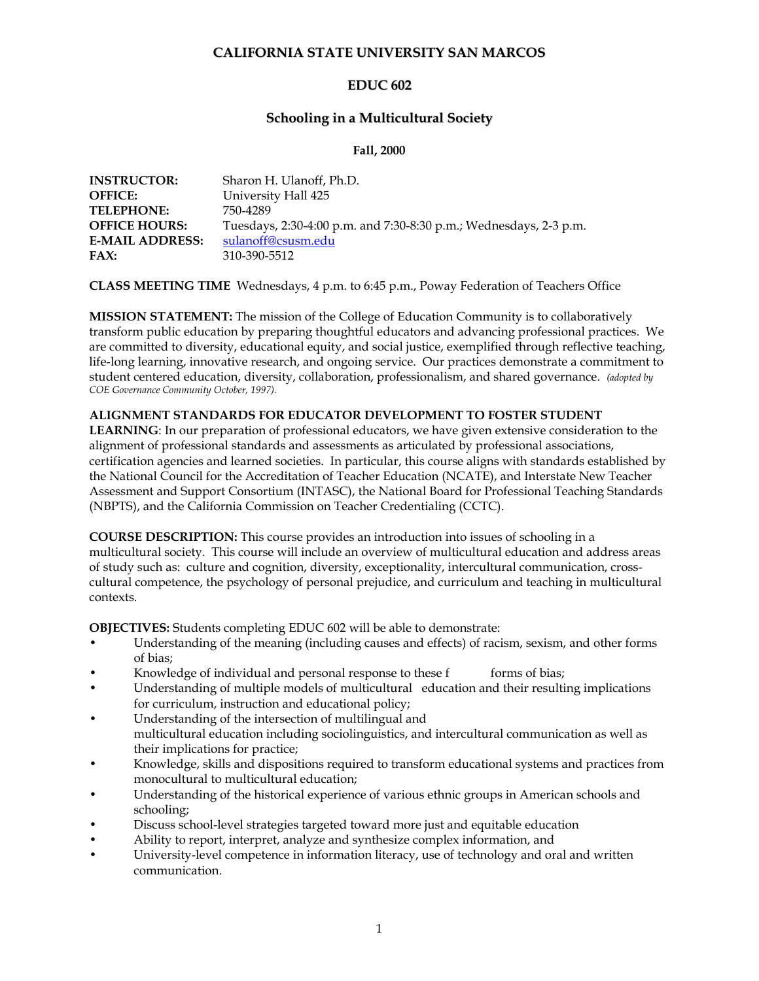# **CALIFORNIA STATE UNIVERSITY SAN MARCOS**

# **EDUC 602**

# **Schooling in a Multicultural Society**

### **Fall, 2000**

| <b>INSTRUCTOR:</b>     | Sharon H. Ulanoff, Ph.D.                                          |
|------------------------|-------------------------------------------------------------------|
| <b>OFFICE:</b>         | University Hall 425                                               |
| <b>TELEPHONE:</b>      | 750-4289                                                          |
| <b>OFFICE HOURS:</b>   | Tuesdays, 2:30-4:00 p.m. and 7:30-8:30 p.m.; Wednesdays, 2-3 p.m. |
| <b>E-MAIL ADDRESS:</b> | sulanoff@csusm.edu                                                |
| FAX:                   | 310-390-5512                                                      |

**CLASS MEETING TIME** Wednesdays, 4 p.m. to 6:45 p.m., Poway Federation of Teachers Office

**MISSION STATEMENT:** The mission of the College of Education Community is to collaboratively transform public education by preparing thoughtful educators and advancing professional practices. We are committed to diversity, educational equity, and social justice, exemplified through reflective teaching, life-long learning, innovative research, and ongoing service. Our practices demonstrate a commitment to student centered education, diversity, collaboration, professionalism, and shared governance. *(adopted by COE Governance Community October, 1997).*

## **ALIGNMENT STANDARDS FOR EDUCATOR DEVELOPMENT TO FOSTER STUDENT**

**LEARNING**: In our preparation of professional educators, we have given extensive consideration to the alignment of professional standards and assessments as articulated by professional associations, certification agencies and learned societies. In particular, this course aligns with standards established by the National Council for the Accreditation of Teacher Education (NCATE), and Interstate New Teacher Assessment and Support Consortium (INTASC), the National Board for Professional Teaching Standards (NBPTS), and the California Commission on Teacher Credentialing (CCTC).

**COURSE DESCRIPTION:** This course provides an introduction into issues of schooling in a multicultural society. This course will include an overview of multicultural education and address areas of study such as: culture and cognition, diversity, exceptionality, intercultural communication, crosscultural competence, the psychology of personal prejudice, and curriculum and teaching in multicultural contexts.

**OBJECTIVES:** Students completing EDUC 602 will be able to demonstrate:

- Understanding of the meaning (including causes and effects) of racism, sexism, and other forms of bias;
- Knowledge of individual and personal response to these f forms of bias;
- Understanding of multiple models of multicultural education and their resulting implications for curriculum, instruction and educational policy;
- Understanding of the intersection of multilingual and multicultural education including sociolinguistics, and intercultural communication as well as their implications for practice;
- Knowledge, skills and dispositions required to transform educational systems and practices from monocultural to multicultural education;
- Understanding of the historical experience of various ethnic groups in American schools and schooling;
- Discuss school-level strategies targeted toward more just and equitable education
- Ability to report, interpret, analyze and synthesize complex information, and
- University-level competence in information literacy, use of technology and oral and written communication.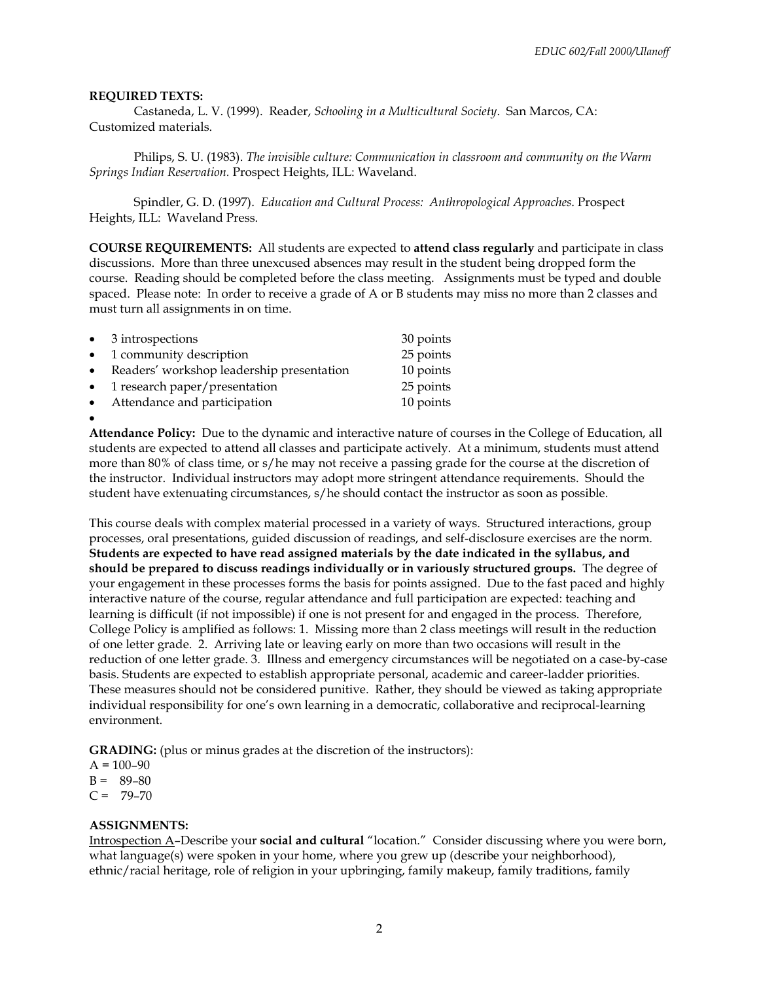### **REQUIRED TEXTS:**

Castaneda, L. V. (1999). Reader, *Schooling in a Multicultural Society*. San Marcos, CA: Customized materials.

Philips, S. U. (1983). *The invisible culture: Communication in classroom and community on the Warm Springs Indian Reservation.* Prospect Heights, ILL: Waveland.

Spindler, G. D. (1997). *Education and Cultural Process: Anthropological Approaches*. Prospect Heights, ILL: Waveland Press.

**COURSE REQUIREMENTS:** All students are expected to **attend class regularly** and participate in class discussions. More than three unexcused absences may result in the student being dropped form the course. Reading should be completed before the class meeting. Assignments must be typed and double spaced. Please note: In order to receive a grade of A or B students may miss no more than 2 classes and must turn all assignments in on time.

|           | $\bullet$ 3 introspections                | 30 points |
|-----------|-------------------------------------------|-----------|
| $\bullet$ | 1 community description                   | 25 points |
| $\bullet$ | Readers' workshop leadership presentation | 10 points |
| $\bullet$ | 1 research paper/presentation             | 25 points |
| $\bullet$ | Attendance and participation              | 10 points |
| $\bullet$ |                                           |           |

**Attendance Policy:** Due to the dynamic and interactive nature of courses in the College of Education, all students are expected to attend all classes and participate actively. At a minimum, students must attend more than 80% of class time, or s/he may not receive a passing grade for the course at the discretion of the instructor. Individual instructors may adopt more stringent attendance requirements. Should the student have extenuating circumstances, s/he should contact the instructor as soon as possible.

This course deals with complex material processed in a variety of ways. Structured interactions, group processes, oral presentations, guided discussion of readings, and self-disclosure exercises are the norm. **Students are expected to have read assigned materials by the date indicated in the syllabus, and should be prepared to discuss readings individually or in variously structured groups.** The degree of your engagement in these processes forms the basis for points assigned. Due to the fast paced and highly interactive nature of the course, regular attendance and full participation are expected: teaching and learning is difficult (if not impossible) if one is not present for and engaged in the process. Therefore, College Policy is amplified as follows: 1. Missing more than 2 class meetings will result in the reduction of one letter grade. 2. Arriving late or leaving early on more than two occasions will result in the reduction of one letter grade. 3. Illness and emergency circumstances will be negotiated on a case-by-case basis. Students are expected to establish appropriate personal, academic and career-ladder priorities. These measures should not be considered punitive. Rather, they should be viewed as taking appropriate individual responsibility for one's own learning in a democratic, collaborative and reciprocal-learning environment.

**GRADING:** (plus or minus grades at the discretion of the instructors):

 $A = 100 - 90$ 

 $B = 89-80$ 

 $C = 79-70$ 

#### **ASSIGNMENTS:**

Introspection A–Describe your **social and cultural** "location." Consider discussing where you were born, what language(s) were spoken in your home, where you grew up (describe your neighborhood), ethnic/racial heritage, role of religion in your upbringing, family makeup, family traditions, family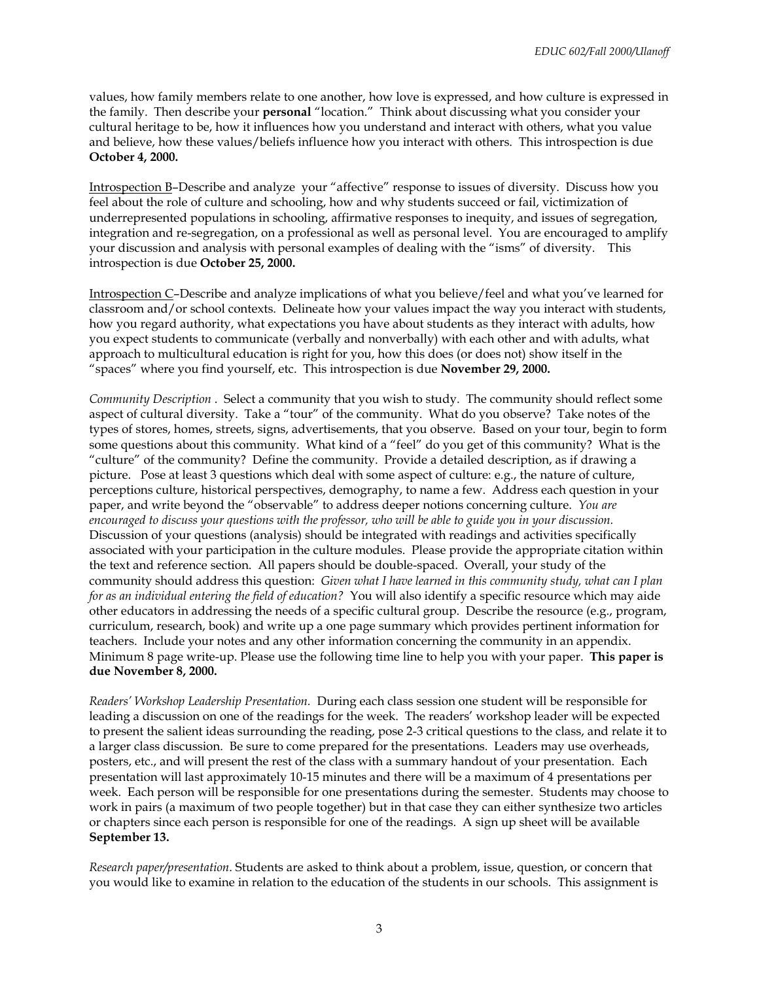values, how family members relate to one another, how love is expressed, and how culture is expressed in the family. Then describe your **personal** "location." Think about discussing what you consider your cultural heritage to be, how it influences how you understand and interact with others, what you value and believe, how these values/beliefs influence how you interact with others. This introspection is due **October 4, 2000.**

Introspection B–Describe and analyze your "affective" response to issues of diversity. Discuss how you feel about the role of culture and schooling, how and why students succeed or fail, victimization of underrepresented populations in schooling, affirmative responses to inequity, and issues of segregation, integration and re-segregation, on a professional as well as personal level. You are encouraged to amplify your discussion and analysis with personal examples of dealing with the "isms" of diversity. This introspection is due **October 25, 2000.**

Introspection C–Describe and analyze implications of what you believe/feel and what you've learned for classroom and/or school contexts. Delineate how your values impact the way you interact with students, how you regard authority, what expectations you have about students as they interact with adults, how you expect students to communicate (verbally and nonverbally) with each other and with adults, what approach to multicultural education is right for you, how this does (or does not) show itself in the "spaces" where you find yourself, etc. This introspection is due **November 29, 2000.**

*Community Description* . Select a community that you wish to study. The community should reflect some aspect of cultural diversity. Take a "tour" of the community. What do you observe? Take notes of the types of stores, homes, streets, signs, advertisements, that you observe. Based on your tour, begin to form some questions about this community. What kind of a "feel" do you get of this community? What is the "culture" of the community? Define the community. Provide a detailed description, as if drawing a picture. Pose at least 3 questions which deal with some aspect of culture: e.g., the nature of culture, perceptions culture, historical perspectives, demography, to name a few. Address each question in your paper, and write beyond the "observable" to address deeper notions concerning culture. *You are encouraged to discuss your questions with the professor, who will be able to guide you in your discussion.*  Discussion of your questions (analysis) should be integrated with readings and activities specifically associated with your participation in the culture modules. Please provide the appropriate citation within the text and reference section. All papers should be double-spaced. Overall, your study of the community should address this question: *Given what I have learned in this community study, what can I plan for as an individual entering the field of education?* You will also identify a specific resource which may aide other educators in addressing the needs of a specific cultural group. Describe the resource (e.g., program, curriculum, research, book) and write up a one page summary which provides pertinent information for teachers. Include your notes and any other information concerning the community in an appendix. Minimum 8 page write-up. Please use the following time line to help you with your paper. **This paper is due November 8, 2000.**

*Readers' Workshop Leadership Presentation.* During each class session one student will be responsible for leading a discussion on one of the readings for the week. The readers' workshop leader will be expected to present the salient ideas surrounding the reading, pose 2-3 critical questions to the class, and relate it to a larger class discussion. Be sure to come prepared for the presentations. Leaders may use overheads, posters, etc., and will present the rest of the class with a summary handout of your presentation. Each presentation will last approximately 10-15 minutes and there will be a maximum of 4 presentations per week. Each person will be responsible for one presentations during the semester. Students may choose to work in pairs (a maximum of two people together) but in that case they can either synthesize two articles or chapters since each person is responsible for one of the readings. A sign up sheet will be available **September 13.**

*Research paper/presentation*. Students are asked to think about a problem, issue, question, or concern that you would like to examine in relation to the education of the students in our schools. This assignment is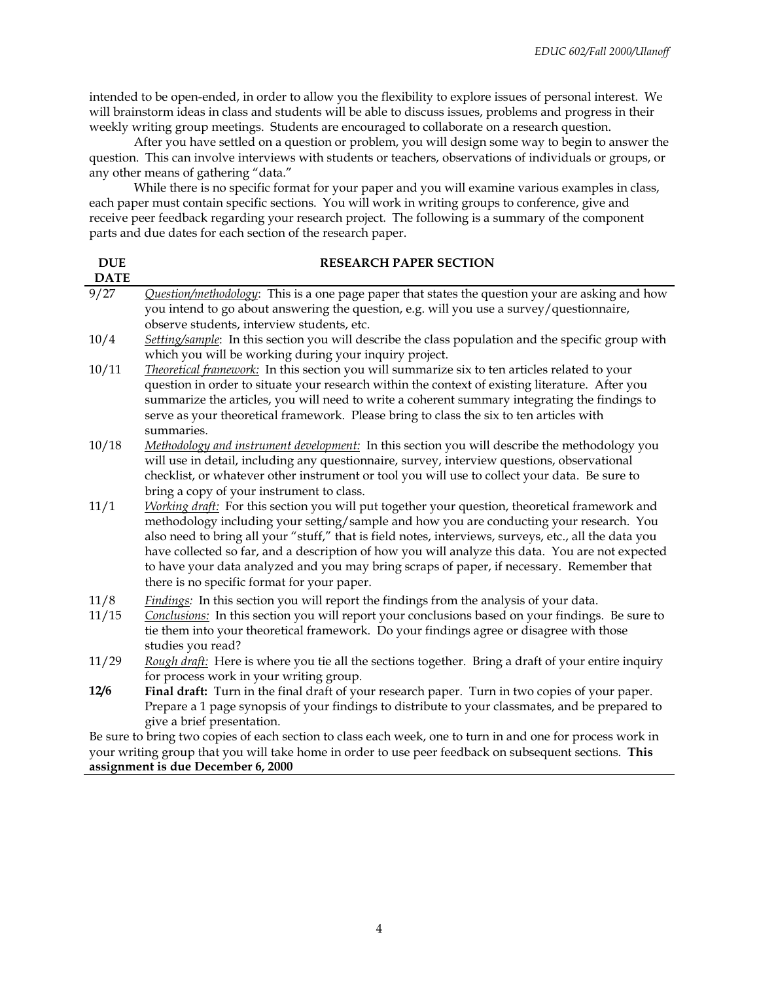intended to be open-ended, in order to allow you the flexibility to explore issues of personal interest. We will brainstorm ideas in class and students will be able to discuss issues, problems and progress in their weekly writing group meetings. Students are encouraged to collaborate on a research question.

After you have settled on a question or problem, you will design some way to begin to answer the question. This can involve interviews with students or teachers, observations of individuals or groups, or any other means of gathering "data."

While there is no specific format for your paper and you will examine various examples in class, each paper must contain specific sections. You will work in writing groups to conference, give and receive peer feedback regarding your research project. The following is a summary of the component parts and due dates for each section of the research paper.

| <b>DUE</b>  | <b>RESEARCH PAPER SECTION</b>                                                                              |  |  |  |
|-------------|------------------------------------------------------------------------------------------------------------|--|--|--|
| <b>DATE</b> |                                                                                                            |  |  |  |
| 9/27        | <i>Question/methodology</i> : This is a one page paper that states the question your are asking and how    |  |  |  |
|             | you intend to go about answering the question, e.g. will you use a survey/questionnaire,                   |  |  |  |
|             | observe students, interview students, etc.                                                                 |  |  |  |
| 10/4        | Setting/sample: In this section you will describe the class population and the specific group with         |  |  |  |
|             | which you will be working during your inquiry project.                                                     |  |  |  |
| 10/11       | Theoretical framework: In this section you will summarize six to ten articles related to your              |  |  |  |
|             | question in order to situate your research within the context of existing literature. After you            |  |  |  |
|             | summarize the articles, you will need to write a coherent summary integrating the findings to              |  |  |  |
|             | serve as your theoretical framework. Please bring to class the six to ten articles with                    |  |  |  |
|             | summaries.                                                                                                 |  |  |  |
| 10/18       | Methodology and instrument development: In this section you will describe the methodology you              |  |  |  |
|             | will use in detail, including any questionnaire, survey, interview questions, observational                |  |  |  |
|             | checklist, or whatever other instrument or tool you will use to collect your data. Be sure to              |  |  |  |
|             | bring a copy of your instrument to class.                                                                  |  |  |  |
| 11/1        | Working draft: For this section you will put together your question, theoretical framework and             |  |  |  |
|             | methodology including your setting/sample and how you are conducting your research. You                    |  |  |  |
|             | also need to bring all your "stuff," that is field notes, interviews, surveys, etc., all the data you      |  |  |  |
|             | have collected so far, and a description of how you will analyze this data. You are not expected           |  |  |  |
|             | to have your data analyzed and you may bring scraps of paper, if necessary. Remember that                  |  |  |  |
|             | there is no specific format for your paper.                                                                |  |  |  |
| 11/8        | Findings: In this section you will report the findings from the analysis of your data.                     |  |  |  |
| 11/15       | Conclusions: In this section you will report your conclusions based on your findings. Be sure to           |  |  |  |
|             | tie them into your theoretical framework. Do your findings agree or disagree with those                    |  |  |  |
|             | studies you read?                                                                                          |  |  |  |
| 11/29       | Rough draft: Here is where you tie all the sections together. Bring a draft of your entire inquiry         |  |  |  |
|             | for process work in your writing group.                                                                    |  |  |  |
| 12/6        | Final draft: Turn in the final draft of your research paper. Turn in two copies of your paper.             |  |  |  |
|             | Prepare a 1 page synopsis of your findings to distribute to your classmates, and be prepared to            |  |  |  |
|             | give a brief presentation.                                                                                 |  |  |  |
|             | Be sure to bring two copies of each section to class each week, one to turn in and one for process work in |  |  |  |
|             | your writing group that you will take home in order to use peer feedback on subsequent sections. This      |  |  |  |

#### **assignment is due December 6, 2000**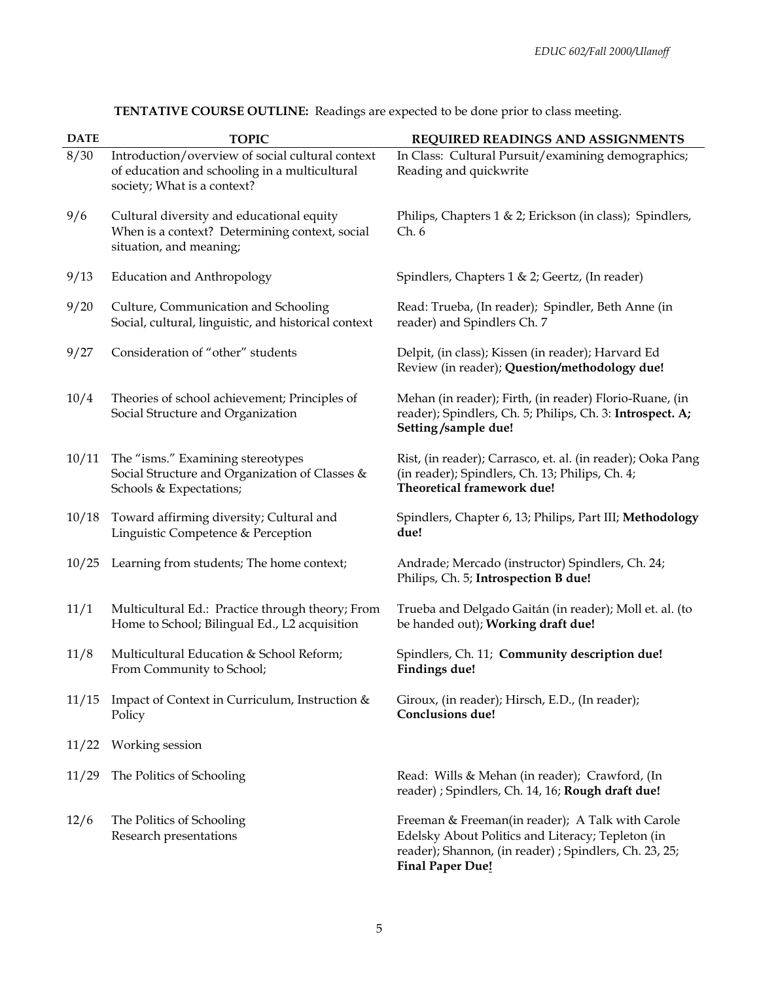| <b>DATE</b> | <b>TOPIC</b>                                                                                                                     | REQUIRED READINGS AND ASSIGNMENTS                                                                                                                                                          |
|-------------|----------------------------------------------------------------------------------------------------------------------------------|--------------------------------------------------------------------------------------------------------------------------------------------------------------------------------------------|
| 8/30        | Introduction/overview of social cultural context<br>of education and schooling in a multicultural<br>society; What is a context? | In Class: Cultural Pursuit/examining demographics;<br>Reading and quickwrite                                                                                                               |
| 9/6         | Cultural diversity and educational equity<br>When is a context? Determining context, social<br>situation, and meaning;           | Philips, Chapters 1 & 2; Erickson (in class); Spindlers,<br>Ch. 6                                                                                                                          |
| 9/13        | <b>Education and Anthropology</b>                                                                                                | Spindlers, Chapters 1 & 2; Geertz, (In reader)                                                                                                                                             |
| 9/20        | Culture, Communication and Schooling<br>Social, cultural, linguistic, and historical context                                     | Read: Trueba, (In reader); Spindler, Beth Anne (in<br>reader) and Spindlers Ch. 7                                                                                                          |
| 9/27        | Consideration of "other" students                                                                                                | Delpit, (in class); Kissen (in reader); Harvard Ed<br>Review (in reader); Question/methodology due!                                                                                        |
| 10/4        | Theories of school achievement; Principles of<br>Social Structure and Organization                                               | Mehan (in reader); Firth, (in reader) Florio-Ruane, (in<br>reader); Spindlers, Ch. 5; Philips, Ch. 3: Introspect. A;<br>Setting/sample due!                                                |
| 10/11       | The "isms." Examining stereotypes<br>Social Structure and Organization of Classes &<br>Schools & Expectations;                   | Rist, (in reader); Carrasco, et. al. (in reader); Ooka Pang<br>(in reader); Spindlers, Ch. 13; Philips, Ch. 4;<br>Theoretical framework due!                                               |
| 10/18       | Toward affirming diversity; Cultural and<br>Linguistic Competence & Perception                                                   | Spindlers, Chapter 6, 13; Philips, Part III; Methodology<br>due!                                                                                                                           |
| 10/25       | Learning from students; The home context;                                                                                        | Andrade; Mercado (instructor) Spindlers, Ch. 24;<br>Philips, Ch. 5; Introspection B due!                                                                                                   |
| 11/1        | Multicultural Ed.: Practice through theory; From<br>Home to School; Bilingual Ed., L2 acquisition                                | Trueba and Delgado Gaitán (in reader); Moll et. al. (to<br>be handed out); Working draft due!                                                                                              |
| 11/8        | Multicultural Education & School Reform;<br>From Community to School;                                                            | Spindlers, Ch. 11; Community description due!<br>Findings due!                                                                                                                             |
| 11/15       | Impact of Context in Curriculum, Instruction &<br>Policy                                                                         | Giroux, (in reader); Hirsch, E.D., (In reader);<br><b>Conclusions due!</b>                                                                                                                 |
| 11/22       | Working session                                                                                                                  |                                                                                                                                                                                            |
| 11/29       | The Politics of Schooling                                                                                                        | Read: Wills & Mehan (in reader); Crawford, (In<br>reader) ; Spindlers, Ch. 14, 16; Rough draft due!                                                                                        |
| 12/6        | The Politics of Schooling<br>Research presentations                                                                              | Freeman & Freeman(in reader); A Talk with Carole<br>Edelsky About Politics and Literacy; Tepleton (in<br>reader); Shannon, (in reader) ; Spindlers, Ch. 23, 25;<br><b>Final Paper Due!</b> |

**TENTATIVE COURSE OUTLINE:** Readings are expected to be done prior to class meeting.